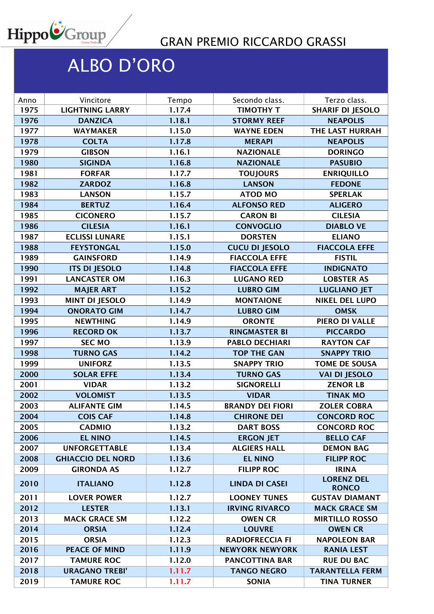

## GRAN PREMIO RICCARDO GRASSI

## ALBO D'ORO

| Anno | Vincitore                | Tempo  | Secondo class.          | Terzo class.                      |
|------|--------------------------|--------|-------------------------|-----------------------------------|
| 1975 | <b>LIGHTNING LARRY</b>   | 1.17.4 | <b>TIMOTHY T</b>        | <b>SHARIF DI JESOLO</b>           |
| 1976 | <b>DANZICA</b>           | 1.18.1 | <b>STORMY REEF</b>      | <b>NEAPOLIS</b>                   |
| 1977 | <b>WAYMAKER</b>          | 1.15.0 | <b>WAYNE EDEN</b>       | THE LAST HURRAH                   |
| 1978 | <b>COLTA</b>             | 1.17.8 | <b>MERAPI</b>           | <b>NEAPOLIS</b>                   |
| 1979 | <b>GIBSON</b>            | 1.16.1 | <b>NAZIONALE</b>        | <b>DORINGO</b>                    |
| 1980 | <b>SIGINDA</b>           | 1.16.8 | <b>NAZIONALE</b>        | <b>PASUBIO</b>                    |
| 1981 | <b>FORFAR</b>            | 1.17.7 | <b>TOUJOURS</b>         | <b>ENRIQUILLO</b>                 |
| 1982 | <b>ZARDOZ</b>            | 1.16.8 | <b>LANSON</b>           | <b>FEDONE</b>                     |
| 1983 | <b>LANSON</b>            | 1.15.7 | <b>ATOD MO</b>          | <b>SPERLAK</b>                    |
| 1984 | <b>BERTUZ</b>            | 1.16.4 | <b>ALFONSO RED</b>      | <b>ALIGERO</b>                    |
| 1985 | <b>CICONERO</b>          | 1.15.7 | <b>CARON BI</b>         | <b>CILESIA</b>                    |
| 1986 | <b>CILESIA</b>           | 1.16.1 | <b>CONVOGLIO</b>        | <b>DIABLO VE</b>                  |
| 1987 | <b>ECLISSI LUNARE</b>    | 1.15.1 | <b>DORSTEN</b>          | <b>ELIANO</b>                     |
| 1988 | <b>FEYSTONGAL</b>        | 1.15.0 | <b>CUCU DI JESOLO</b>   | <b>FIACCOLA EFFE</b>              |
| 1989 | <b>GAINSFORD</b>         | 1.14.9 | <b>FIACCOLA EFFE</b>    | <b>FISTIL</b>                     |
| 1990 | <b>ITS DI JESOLO</b>     | 1.14.8 | <b>FIACCOLA EFFE</b>    | <b>INDIGNATO</b>                  |
| 1991 | <b>LANCASTER OM</b>      | 1.16.3 | <b>LUGANO RED</b>       | <b>LOBSTER AS</b>                 |
| 1992 | <b>MAJER ART</b>         | 1.15.2 | <b>LUBRO GIM</b>        | <b>LUGLIANO JET</b>               |
| 1993 | <b>MINT DI JESOLO</b>    | 1.14.9 | <b>MONTAIONE</b>        | <b>NIKEL DEL LUPO</b>             |
| 1994 | <b>ONORATO GIM</b>       | 1.14.7 | <b>LUBRO GIM</b>        | <b>OMSK</b>                       |
| 1995 | <b>NEWTHING</b>          | 1.14.9 | <b>ORONTE</b>           | PIERO DI VALLE                    |
| 1996 | <b>RECORD OK</b>         | 1.13.7 | <b>RINGMASTER BI</b>    | <b>PICCARDO</b>                   |
| 1997 | <b>SEC MO</b>            | 1.13.9 | <b>PABLO DECHIARI</b>   | <b>RAYTON CAF</b>                 |
| 1998 | <b>TURNO GAS</b>         | 1.14.2 | <b>TOP THE GAN</b>      | <b>SNAPPY TRIO</b>                |
| 1999 | <b>UNIFORZ</b>           | 1.13.5 | <b>SNAPPY TRIO</b>      | <b>TOME DE SOUSA</b>              |
| 2000 | <b>SOLAR EFFE</b>        | 1.13.4 | <b>TURNO GAS</b>        | <b>VAI DI JESOLO</b>              |
| 2001 | <b>VIDAR</b>             | 1.13.2 | <b>SIGNORELLI</b>       | <b>ZENOR LB</b>                   |
| 2002 | <b>VOLOMIST</b>          | 1.13.5 | <b>VIDAR</b>            | <b>TINAK MO</b>                   |
| 2003 | <b>ALIFANTE GIM</b>      | 1.14.5 | <b>BRANDY DEI FIORI</b> | <b>ZOLER COBRA</b>                |
| 2004 | <b>COIS CAF</b>          | 1.14.8 | <b>CHIRONE DEI</b>      | <b>CONCORD ROC</b>                |
| 2005 | <b>CADMIO</b>            | 1.13.2 | <b>DART BOSS</b>        | <b>CONCORD ROC</b>                |
| 2006 | <b>EL NINO</b>           | 1.14.5 | <b>ERGON JET</b>        | <b>BELLO CAF</b>                  |
| 2007 | <b>UNFORGETTABLE</b>     | 1.13.4 | <b>ALGIERS HALL</b>     | <b>DEMON BAG</b>                  |
| 2008 | <b>GHIACCIO DEL NORD</b> | 1.13.6 | <b>EL NINO</b>          | <b>FILIPP ROC</b>                 |
| 2009 | <b>GIRONDA AS</b>        | 1.12.7 | <b>FILIPP ROC</b>       | <b>IRINA</b>                      |
| 2010 | <b>ITALIANO</b>          | 1.12.8 | <b>LINDA DI CASEI</b>   | <b>LORENZ DEL</b><br><b>RONCO</b> |
| 2011 | <b>LOVER POWER</b>       | 1.12.7 | <b>LOONEY TUNES</b>     | <b>GUSTAV DIAMANT</b>             |
| 2012 | <b>LESTER</b>            | 1.13.1 | <b>IRVING RIVARCO</b>   | <b>MACK GRACE SM</b>              |
| 2013 | <b>MACK GRACE SM</b>     | 1.12.2 | <b>OWEN CR</b>          | <b>MIRTILLO ROSSO</b>             |
| 2014 | <b>ORSIA</b>             | 1.12.4 | <b>LOUVRE</b>           | <b>OWEN CR</b>                    |
| 2015 | <b>ORSIA</b>             | 1.12.3 | <b>RADIOFRECCIA FI</b>  | <b>NAPOLEON BAR</b>               |
| 2016 | <b>PEACE OF MIND</b>     | 1.11.9 | <b>NEWYORK NEWYORK</b>  | <b>RANIA LEST</b>                 |
| 2017 | <b>TAMURE ROC</b>        | 1.12.0 | <b>PANCOTTINA BAR</b>   | <b>RUE DU BAC</b>                 |
| 2018 | <b>URAGANO TREBI'</b>    | 1.11.7 | <b>TANGO NEGRO</b>      | <b>TARANTELLA FERM</b>            |
| 2019 | <b>TAMURE ROC</b>        | 1.11.7 | <b>SONIA</b>            | <b>TINA TURNER</b>                |